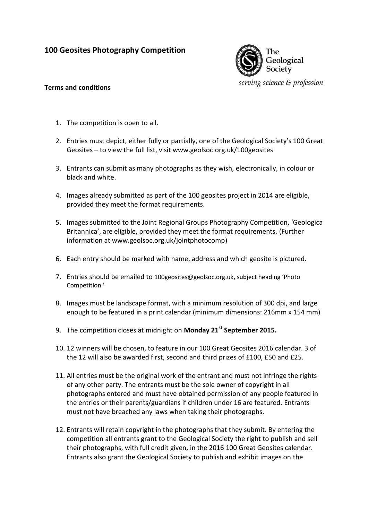## **100 Geosites Photography Competition**



## **Terms and conditions**

- 1. The competition is open to all.
- 2. Entries must depict, either fully or partially, one of the Geological Society's 100 Great Geosites – to view the full list, visit www.geolsoc.org.uk/100geosites
- 3. Entrants can submit as many photographs as they wish, electronically, in colour or black and white.
- 4. Images already submitted as part of the 100 geosites project in 2014 are eligible, provided they meet the format requirements.
- 5. Images submitted to the Joint Regional Groups Photography Competition, 'Geologica Britannica', are eligible, provided they meet the format requirements. (Further information at www.geolsoc.org.uk/jointphotocomp)
- 6. Each entry should be marked with name, address and which geosite is pictured.
- 7. Entries should be emailed to 100geosites@geolsoc.org.uk, subject heading 'Photo Competition.'
- 8. Images must be landscape format, with a minimum resolution of 300 dpi, and large enough to be featured in a print calendar (minimum dimensions: 216mm x 154 mm)
- 9. The competition closes at midnight on **Monday 21st September 2015.**
- 10. 12 winners will be chosen, to feature in our 100 Great Geosites 2016 calendar. 3 of the 12 will also be awarded first, second and third prizes of £100, £50 and £25.
- 11. All entries must be the original work of the entrant and must not infringe the rights of any other party. The entrants must be the sole owner of copyright in all photographs entered and must have obtained permission of any people featured in the entries or their parents/guardians if children under 16 are featured. Entrants must not have breached any laws when taking their photographs.
- 12. Entrants will retain copyright in the photographs that they submit. By entering the competition all entrants grant to the Geological Society the right to publish and sell their photographs, with full credit given, in the 2016 100 Great Geosites calendar. Entrants also grant the Geological Society to publish and exhibit images on the